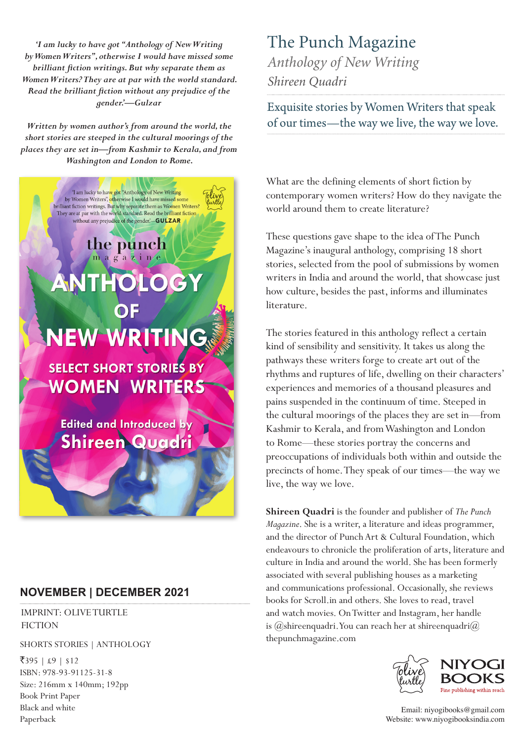*'I am lucky to have got "Anthology of New Writing by Women Writers", otherwise I would have missed some brilliant fiction writings. But why separate them as Women Writers? They are at par with the world standard. Read the brilliant fiction without any prejudice of the gender.'—Gulzar*

*Written by women author's from around the world, the short stories are steeped in the cultural moorings of the places they are set in—from Kashmir to Kerala, and from Washington and London to Rome.*



## **NOVEMBER | DECEMBER 2021**

IMPRINT: OLIVE TURTLE **FICTION** 

SHORTS STORIES | ANTHOLOGY

 $\overline{5}395$  |  $\pounds9$  | \$12 ISBN: 978-93-91125-31-8 Size: 216mm x 140mm; 192pp Book Print Paper Black and white Paperback

## The Punch Magazine *Anthology of New Writing*

*Shireen Quadri*

Exquisite stories by Women Writers that speak of our times—the way we live, the way we love.

What are the defining elements of short fiction by contemporary women writers? How do they navigate the world around them to create literature?

These questions gave shape to the idea of The Punch Magazine's inaugural anthology, comprising 18 short stories, selected from the pool of submissions by women writers in India and around the world, that showcase just how culture, besides the past, informs and illuminates literature.

The stories featured in this anthology reflect a certain kind of sensibility and sensitivity. It takes us along the pathways these writers forge to create art out of the rhythms and ruptures of life, dwelling on their characters' experiences and memories of a thousand pleasures and pains suspended in the continuum of time. Steeped in the cultural moorings of the places they are set in—from Kashmir to Kerala, and from Washington and London to Rome—these stories portray the concerns and preoccupations of individuals both within and outside the precincts of home. They speak of our times—the way we live, the way we love.

**Shireen Quadri** is the founder and publisher of *The Punch Magazine*. She is a writer, a literature and ideas programmer, and the director of Punch Art & Cultural Foundation, which endeavours to chronicle the proliferation of arts, literature and culture in India and around the world. She has been formerly associated with several publishing houses as a marketing and communications professional. Occasionally, she reviews books for Scroll.in and others. She loves to read, travel and watch movies. On Twitter and Instagram, her handle is  $(\omega)$ shireenquadri. You can reach her at shireenquadri $(\omega)$ thepunchmagazine.com



Email: niyogibooks@gmail.com Website: www.niyogibooksindia.com